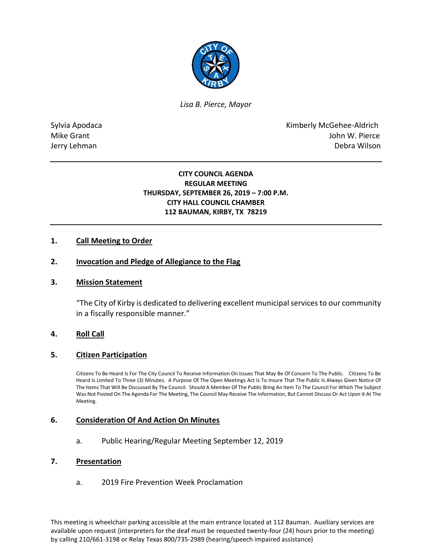

*Lisa B. Pierce, Mayor* 

Sylvia Apodaca **Kimberly McGehee-Aldrich** Mike Grant **Mike Grant** John W. Pierce Jerry Lehman Debra Wilson

# **CITY COUNCIL AGENDA REGULAR MEETING THURSDAY, SEPTEMBER 26, 2019 – 7:00 P.M. CITY HALL COUNCIL CHAMBER 112 BAUMAN, KIRBY, TX 78219**

# **1. Call Meeting to Order**

## **2. Invocation and Pledge of Allegiance to the Flag**

### **3. Mission Statement**

"The City of Kirby is dedicated to delivering excellent municipal services to our community in a fiscally responsible manner."

### **4. Roll Call**

### **5. Citizen Participation**

Citizens To Be Heard Is For The City Council To Receive Information On Issues That May Be Of Concern To The Public. Citizens To Be Heard Is Limited To Three (3) Minutes. A Purpose Of The Open Meetings Act Is To Insure That The Public Is Always Given Notice Of The Items That Will Be Discussed By The Council. Should A Member Of The Public Bring An Item To The Council For Which The Subject Was Not Posted On The Agenda For The Meeting, The Council May Receive The Information, But Cannot Discuss Or Act Upon It At The Meeting.

## **6. Consideration Of And Action On Minutes**

a. Public Hearing/Regular Meeting September 12, 2019

### **7. Presentation**

a. 2019 Fire Prevention Week Proclamation

This meeting is wheelchair parking accessible at the main entrance located at 112 Bauman. Auxiliary services are available upon request (interpreters for the deaf must be requested twenty-four (24) hours prior to the meeting) by calling 210/661-3198 or Relay Texas 800/735-2989 (hearing/speech impaired assistance)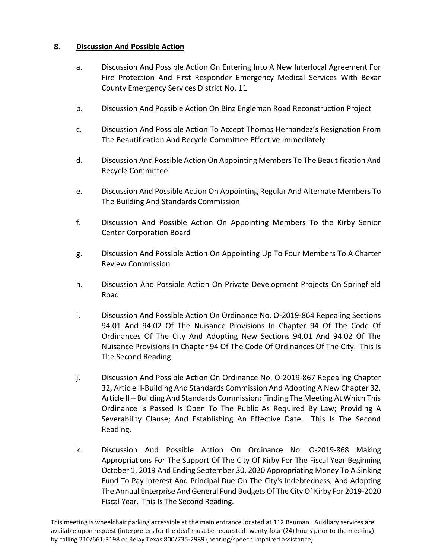# **8. Discussion And Possible Action**

- a. Discussion And Possible Action On Entering Into A New Interlocal Agreement For Fire Protection And First Responder Emergency Medical Services With Bexar County Emergency Services District No. 11
- b. Discussion And Possible Action On Binz Engleman Road Reconstruction Project
- c. Discussion And Possible Action To Accept Thomas Hernandez's Resignation From The Beautification And Recycle Committee Effective Immediately
- d. Discussion And Possible Action On Appointing Members To The Beautification And Recycle Committee
- e. Discussion And Possible Action On Appointing Regular And Alternate Members To The Building And Standards Commission
- f. Discussion And Possible Action On Appointing Members To the Kirby Senior Center Corporation Board
- g. Discussion And Possible Action On Appointing Up To Four Members To A Charter Review Commission
- h. Discussion And Possible Action On Private Development Projects On Springfield Road
- i. Discussion And Possible Action On Ordinance No. O-2019-864 Repealing Sections 94.01 And 94.02 Of The Nuisance Provisions In Chapter 94 Of The Code Of Ordinances Of The City And Adopting New Sections 94.01 And 94.02 Of The Nuisance Provisions In Chapter 94 Of The Code Of Ordinances Of The City. This Is The Second Reading.
- j. Discussion And Possible Action On Ordinance No. O-2019-867 Repealing Chapter 32, Article II-Building And Standards Commission And Adopting A New Chapter 32, Article II – Building And Standards Commission; Finding The Meeting At Which This Ordinance Is Passed Is Open To The Public As Required By Law; Providing A Severability Clause; And Establishing An Effective Date. This Is The Second Reading.
- k. Discussion And Possible Action On Ordinance No. O-2019-868 Making Appropriations For The Support Of The City Of Kirby For The Fiscal Year Beginning October 1, 2019 And Ending September 30, 2020 Appropriating Money To A Sinking Fund To Pay Interest And Principal Due On The City's Indebtedness; And Adopting The Annual Enterprise And General Fund Budgets Of The City Of Kirby For 2019-2020 Fiscal Year. This Is The Second Reading.